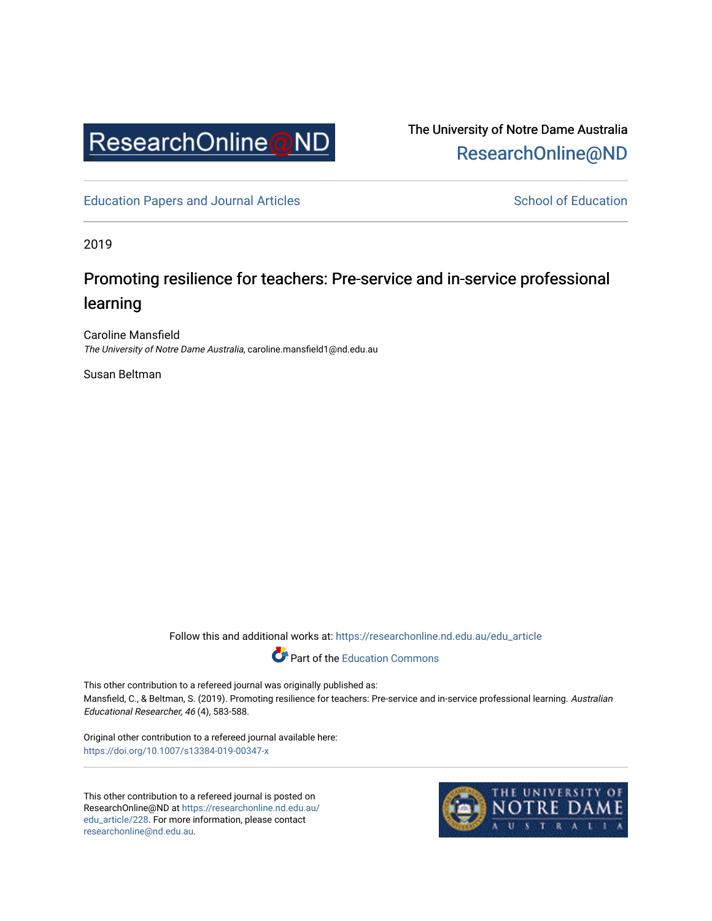

The University of Notre Dame Australia [ResearchOnline@ND](https://researchonline.nd.edu.au/) 

[Education Papers and Journal Articles](https://researchonline.nd.edu.au/edu_article) [School of Education](https://researchonline.nd.edu.au/edu) School of Education

2019

## Promoting resilience for teachers: Pre-service and in-service professional learning

Caroline Mansfield The University of Notre Dame Australia, caroline.mansfield1@nd.edu.au

Susan Beltman

Follow this and additional works at: [https://researchonline.nd.edu.au/edu\\_article](https://researchonline.nd.edu.au/edu_article?utm_source=researchonline.nd.edu.au%2Fedu_article%2F228&utm_medium=PDF&utm_campaign=PDFCoverPages)



This other contribution to a refereed journal was originally published as: Mansfield, C., & Beltman, S. (2019). Promoting resilience for teachers: Pre-service and in-service professional learning. Australian Educational Researcher, 46 (4), 583-588.

Original other contribution to a refereed journal available here: <https://doi.org/10.1007/s13384-019-00347-x>

This other contribution to a refereed journal is posted on ResearchOnline@ND at [https://researchonline.nd.edu.au/](https://researchonline.nd.edu.au/edu_article/228) [edu\\_article/228.](https://researchonline.nd.edu.au/edu_article/228) For more information, please contact [researchonline@nd.edu.au.](mailto:researchonline@nd.edu.au)

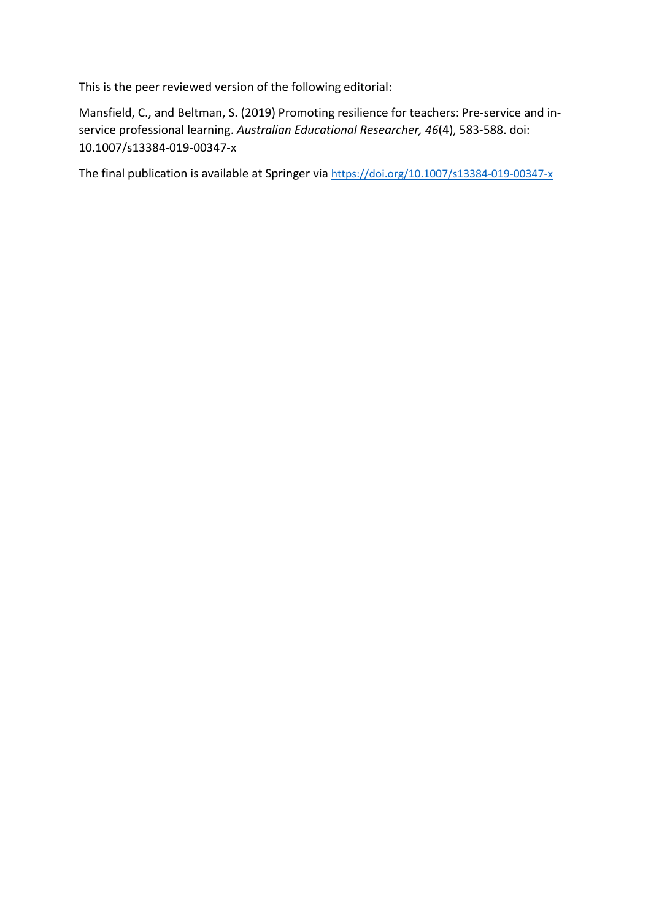This is the peer reviewed version of the following editorial:

Mansfield, C., and Beltman, S. (2019) Promoting resilience for teachers: Pre-service and inservice professional learning. *Australian Educational Researcher, 46*(4), 583-588. doi: 10.1007/s13384-019-00347-x

The final publication is available at Springer via https://doi.org/10.1007/s13384-019-00347-x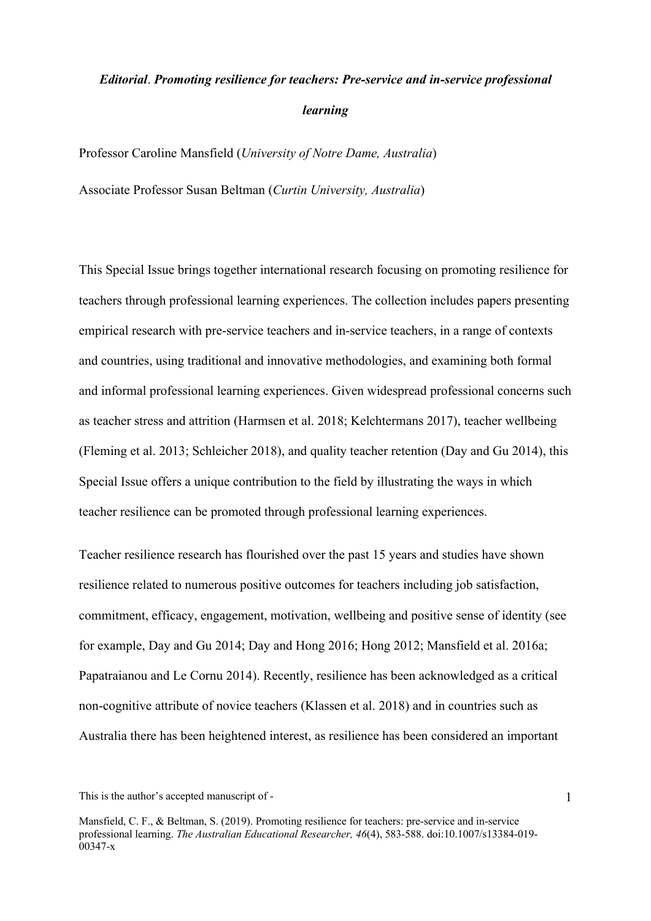## *Editorial*. *Promoting resilience for teachers: Pre-service and in-service professional learning*

Professor Caroline Mansfield (*University of Notre Dame, Australia*) Associate Professor Susan Beltman (*Curtin University, Australia*)

This Special Issue brings together international research focusing on promoting resilience for teachers through professional learning experiences. The collection includes papers presenting empirical research with pre-service teachers and in-service teachers, in a range of contexts and countries, using traditional and innovative methodologies, and examining both formal and informal professional learning experiences. Given widespread professional concerns such as teacher stress and attrition (Harmsen et al. 2018; Kelchtermans 2017), teacher wellbeing (Fleming et al. 2013; Schleicher 2018), and quality teacher retention (Day and Gu 2014), this Special Issue offers a unique contribution to the field by illustrating the ways in which teacher resilience can be promoted through professional learning experiences.

Teacher resilience research has flourished over the past 15 years and studies have shown resilience related to numerous positive outcomes for teachers including job satisfaction, commitment, efficacy, engagement, motivation, wellbeing and positive sense of identity (see for example, Day and Gu 2014; Day and Hong 2016; Hong 2012; Mansfield et al. 2016a; Papatraianou and Le Cornu 2014). Recently, resilience has been acknowledged as a critical non-cognitive attribute of novice teachers (Klassen et al. 2018) and in countries such as Australia there has been heightened interest, as resilience has been considered an important

This is the author's accepted manuscript of -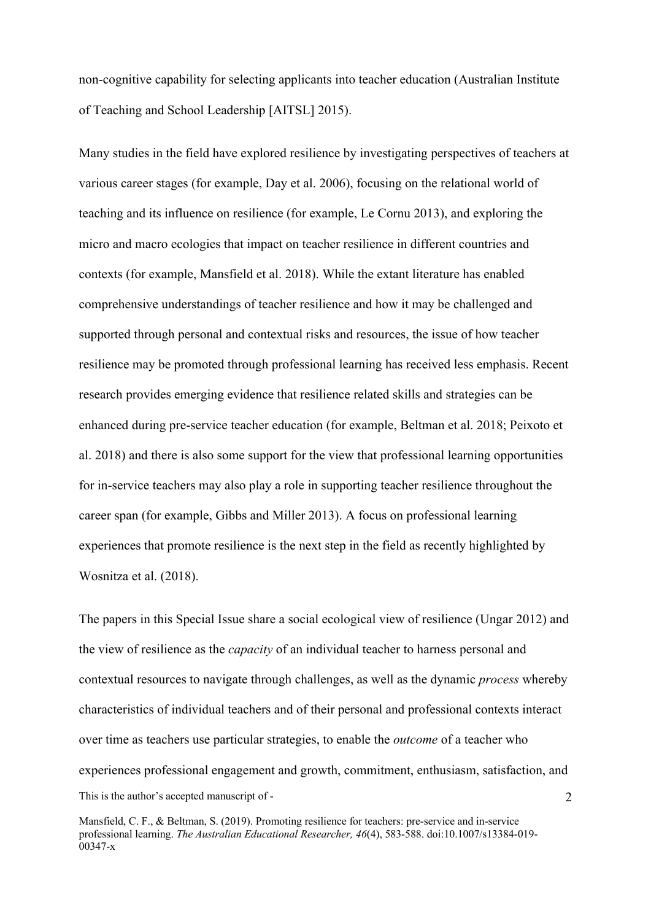non-cognitive capability for selecting applicants into teacher education (Australian Institute of Teaching and School Leadership [AITSL] 2015).

Many studies in the field have explored resilience by investigating perspectives of teachers at various career stages (for example, Day et al. 2006), focusing on the relational world of teaching and its influence on resilience (for example, Le Cornu 2013), and exploring the micro and macro ecologies that impact on teacher resilience in different countries and contexts (for example, Mansfield et al. 2018). While the extant literature has enabled comprehensive understandings of teacher resilience and how it may be challenged and supported through personal and contextual risks and resources, the issue of how teacher resilience may be promoted through professional learning has received less emphasis. Recent research provides emerging evidence that resilience related skills and strategies can be enhanced during pre-service teacher education (for example, Beltman et al. 2018; Peixoto et al. 2018) and there is also some support for the view that professional learning opportunities for in-service teachers may also play a role in supporting teacher resilience throughout the career span (for example, Gibbs and Miller 2013). A focus on professional learning experiences that promote resilience is the next step in the field as recently highlighted by Wosnitza et al. (2018).

This is the author's accepted manuscript of - 2 The papers in this Special Issue share a social ecological view of resilience (Ungar 2012) and the view of resilience as the *capacity* of an individual teacher to harness personal and contextual resources to navigate through challenges, as well as the dynamic *process* whereby characteristics of individual teachers and of their personal and professional contexts interact over time as teachers use particular strategies, to enable the *outcome* of a teacher who experiences professional engagement and growth, commitment, enthusiasm, satisfaction, and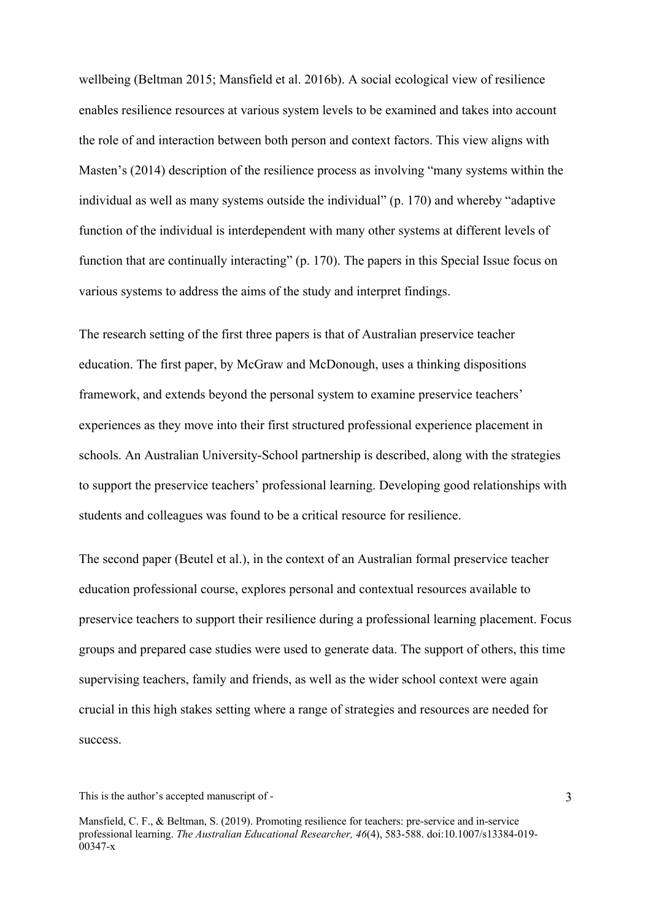wellbeing (Beltman 2015; Mansfield et al. 2016b). A social ecological view of resilience enables resilience resources at various system levels to be examined and takes into account the role of and interaction between both person and context factors. This view aligns with Masten's (2014) description of the resilience process as involving "many systems within the individual as well as many systems outside the individual" (p. 170) and whereby "adaptive function of the individual is interdependent with many other systems at different levels of function that are continually interacting" (p. 170). The papers in this Special Issue focus on various systems to address the aims of the study and interpret findings.

The research setting of the first three papers is that of Australian preservice teacher education. The first paper, by McGraw and McDonough, uses a thinking dispositions framework, and extends beyond the personal system to examine preservice teachers' experiences as they move into their first structured professional experience placement in schools. An Australian University-School partnership is described, along with the strategies to support the preservice teachers' professional learning. Developing good relationships with students and colleagues was found to be a critical resource for resilience.

The second paper (Beutel et al.), in the context of an Australian formal preservice teacher education professional course, explores personal and contextual resources available to preservice teachers to support their resilience during a professional learning placement. Focus groups and prepared case studies were used to generate data. The support of others, this time supervising teachers, family and friends, as well as the wider school context were again crucial in this high stakes setting where a range of strategies and resources are needed for success.

This is the author's accepted manuscript of -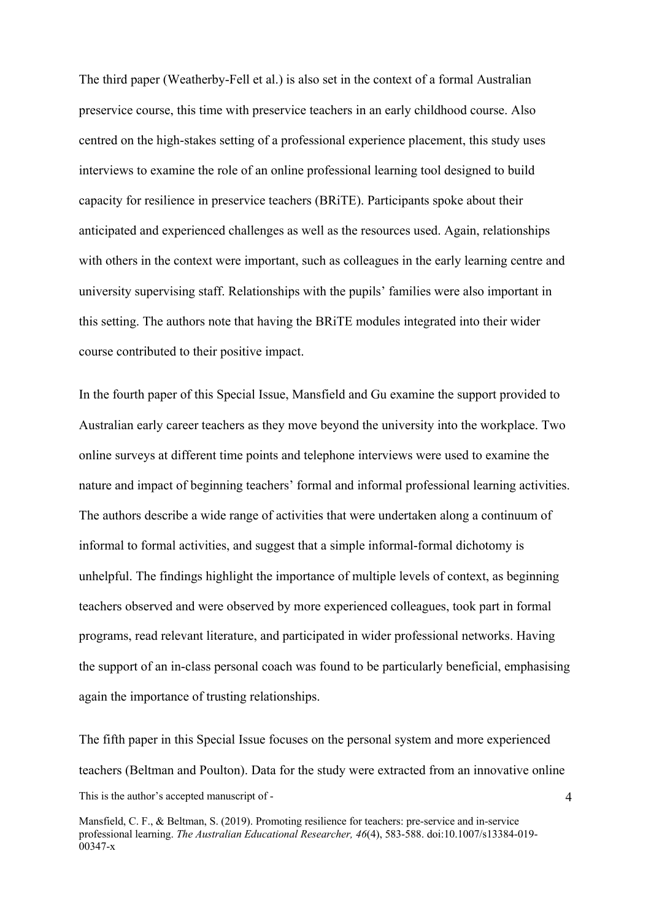The third paper (Weatherby-Fell et al.) is also set in the context of a formal Australian preservice course, this time with preservice teachers in an early childhood course. Also centred on the high-stakes setting of a professional experience placement, this study uses interviews to examine the role of an online professional learning tool designed to build capacity for resilience in preservice teachers (BRiTE). Participants spoke about their anticipated and experienced challenges as well as the resources used. Again, relationships with others in the context were important, such as colleagues in the early learning centre and university supervising staff. Relationships with the pupils' families were also important in this setting. The authors note that having the BRiTE modules integrated into their wider course contributed to their positive impact.

In the fourth paper of this Special Issue, Mansfield and Gu examine the support provided to Australian early career teachers as they move beyond the university into the workplace. Two online surveys at different time points and telephone interviews were used to examine the nature and impact of beginning teachers' formal and informal professional learning activities. The authors describe a wide range of activities that were undertaken along a continuum of informal to formal activities, and suggest that a simple informal-formal dichotomy is unhelpful. The findings highlight the importance of multiple levels of context, as beginning teachers observed and were observed by more experienced colleagues, took part in formal programs, read relevant literature, and participated in wider professional networks. Having the support of an in-class personal coach was found to be particularly beneficial, emphasising again the importance of trusting relationships.

This is the author's accepted manuscript of - The fifth paper in this Special Issue focuses on the personal system and more experienced teachers (Beltman and Poulton). Data for the study were extracted from an innovative online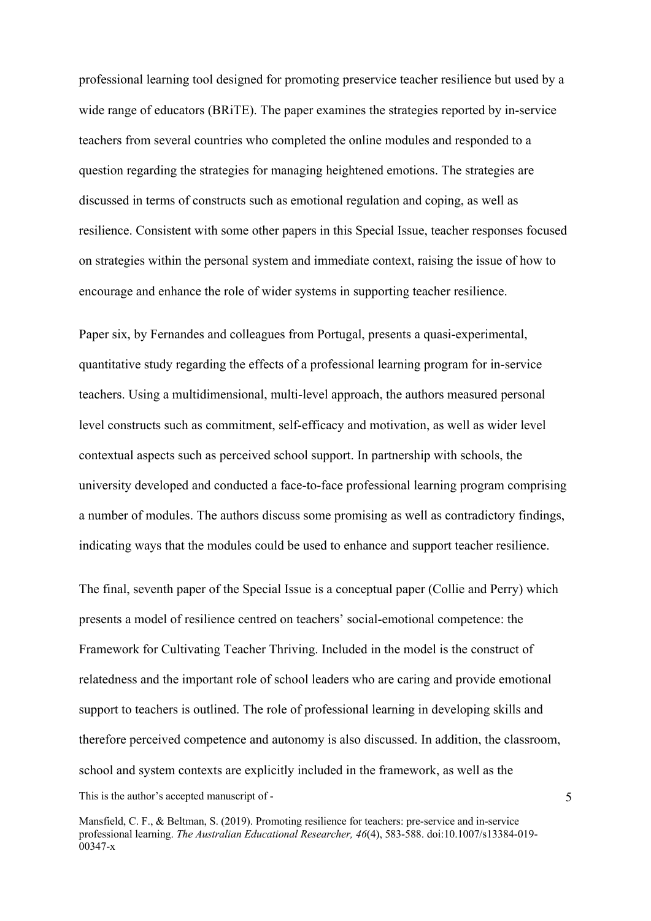professional learning tool designed for promoting preservice teacher resilience but used by a wide range of educators (BRiTE). The paper examines the strategies reported by in-service teachers from several countries who completed the online modules and responded to a question regarding the strategies for managing heightened emotions. The strategies are discussed in terms of constructs such as emotional regulation and coping, as well as resilience. Consistent with some other papers in this Special Issue, teacher responses focused on strategies within the personal system and immediate context, raising the issue of how to encourage and enhance the role of wider systems in supporting teacher resilience.

Paper six, by Fernandes and colleagues from Portugal, presents a quasi-experimental, quantitative study regarding the effects of a professional learning program for in-service teachers. Using a multidimensional, multi-level approach, the authors measured personal level constructs such as commitment, self-efficacy and motivation, as well as wider level contextual aspects such as perceived school support. In partnership with schools, the university developed and conducted a face-to-face professional learning program comprising a number of modules. The authors discuss some promising as well as contradictory findings, indicating ways that the modules could be used to enhance and support teacher resilience.

This is the author's accepted manuscript of - The final, seventh paper of the Special Issue is a conceptual paper (Collie and Perry) which presents a model of resilience centred on teachers' social-emotional competence: the Framework for Cultivating Teacher Thriving. Included in the model is the construct of relatedness and the important role of school leaders who are caring and provide emotional support to teachers is outlined. The role of professional learning in developing skills and therefore perceived competence and autonomy is also discussed. In addition, the classroom, school and system contexts are explicitly included in the framework, as well as the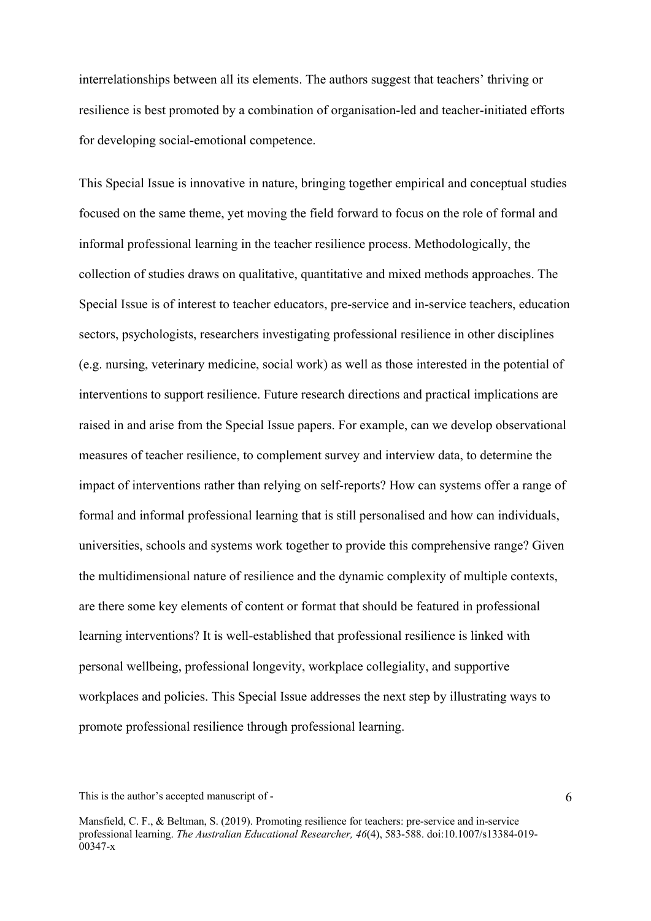interrelationships between all its elements. The authors suggest that teachers' thriving or resilience is best promoted by a combination of organisation-led and teacher-initiated efforts for developing social-emotional competence.

This Special Issue is innovative in nature, bringing together empirical and conceptual studies focused on the same theme, yet moving the field forward to focus on the role of formal and informal professional learning in the teacher resilience process. Methodologically, the collection of studies draws on qualitative, quantitative and mixed methods approaches. The Special Issue is of interest to teacher educators, pre-service and in-service teachers, education sectors, psychologists, researchers investigating professional resilience in other disciplines (e.g. nursing, veterinary medicine, social work) as well as those interested in the potential of interventions to support resilience. Future research directions and practical implications are raised in and arise from the Special Issue papers. For example, can we develop observational measures of teacher resilience, to complement survey and interview data, to determine the impact of interventions rather than relying on self-reports? How can systems offer a range of formal and informal professional learning that is still personalised and how can individuals, universities, schools and systems work together to provide this comprehensive range? Given the multidimensional nature of resilience and the dynamic complexity of multiple contexts, are there some key elements of content or format that should be featured in professional learning interventions? It is well-established that professional resilience is linked with personal wellbeing, professional longevity, workplace collegiality, and supportive workplaces and policies. This Special Issue addresses the next step by illustrating ways to promote professional resilience through professional learning.

This is the author's accepted manuscript of -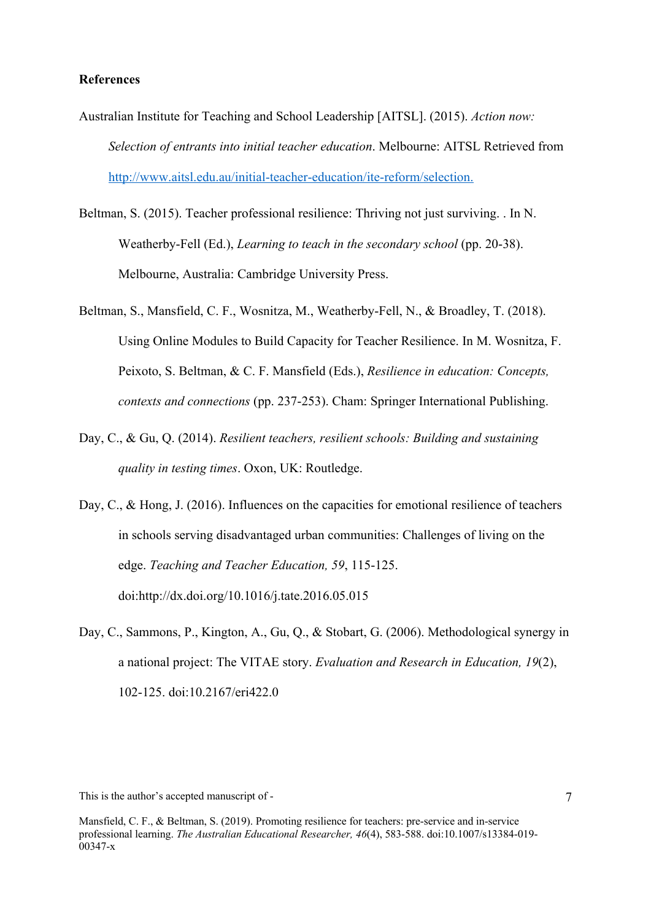## **References**

- Australian Institute for Teaching and School Leadership [AITSL]. (2015). *Action now: Selection of entrants into initial teacher education*. Melbourne: AITSL Retrieved from http://www.aitsl.edu.au/initial-teacher-education/ite-reform/selection.
- Beltman, S. (2015). Teacher professional resilience: Thriving not just surviving. . In N. Weatherby-Fell (Ed.), *Learning to teach in the secondary school* (pp. 20-38). Melbourne, Australia: Cambridge University Press.
- Beltman, S., Mansfield, C. F., Wosnitza, M., Weatherby-Fell, N., & Broadley, T. (2018). Using Online Modules to Build Capacity for Teacher Resilience. In M. Wosnitza, F. Peixoto, S. Beltman, & C. F. Mansfield (Eds.), *Resilience in education: Concepts, contexts and connections* (pp. 237-253). Cham: Springer International Publishing.
- Day, C., & Gu, Q. (2014). *Resilient teachers, resilient schools: Building and sustaining quality in testing times*. Oxon, UK: Routledge.
- Day, C., & Hong, J. (2016). Influences on the capacities for emotional resilience of teachers in schools serving disadvantaged urban communities: Challenges of living on the edge. *Teaching and Teacher Education, 59*, 115-125. doi:http://dx.doi.org/10.1016/j.tate.2016.05.015
- Day, C., Sammons, P., Kington, A., Gu, Q., & Stobart, G. (2006). Methodological synergy in a national project: The VITAE story. *Evaluation and Research in Education, 19*(2), 102-125. doi:10.2167/eri422.0

This is the author's accepted manuscript of -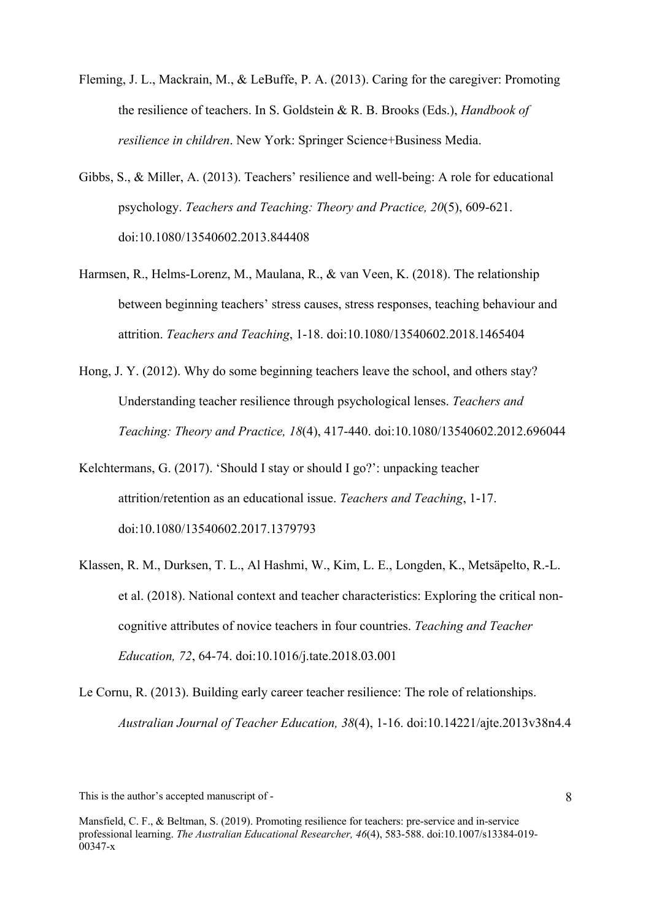- Fleming, J. L., Mackrain, M., & LeBuffe, P. A. (2013). Caring for the caregiver: Promoting the resilience of teachers. In S. Goldstein & R. B. Brooks (Eds.), *Handbook of resilience in children*. New York: Springer Science+Business Media.
- Gibbs, S., & Miller, A. (2013). Teachers' resilience and well-being: A role for educational psychology. *Teachers and Teaching: Theory and Practice, 20*(5), 609-621. doi:10.1080/13540602.2013.844408
- Harmsen, R., Helms-Lorenz, M., Maulana, R., & van Veen, K. (2018). The relationship between beginning teachers' stress causes, stress responses, teaching behaviour and attrition. *Teachers and Teaching*, 1-18. doi:10.1080/13540602.2018.1465404
- Hong, J. Y. (2012). Why do some beginning teachers leave the school, and others stay? Understanding teacher resilience through psychological lenses. *Teachers and Teaching: Theory and Practice, 18*(4), 417-440. doi:10.1080/13540602.2012.696044
- Kelchtermans, G. (2017). 'Should I stay or should I go?': unpacking teacher attrition/retention as an educational issue. *Teachers and Teaching*, 1-17. doi:10.1080/13540602.2017.1379793
- Klassen, R. M., Durksen, T. L., Al Hashmi, W., Kim, L. E., Longden, K., Metsäpelto, R.-L. et al. (2018). National context and teacher characteristics: Exploring the critical noncognitive attributes of novice teachers in four countries. *Teaching and Teacher Education, 72*, 64-74. doi:10.1016/j.tate.2018.03.001
- Le Cornu, R. (2013). Building early career teacher resilience: The role of relationships. *Australian Journal of Teacher Education, 38*(4), 1-16. doi:10.14221/ajte.2013v38n4.4

This is the author's accepted manuscript of -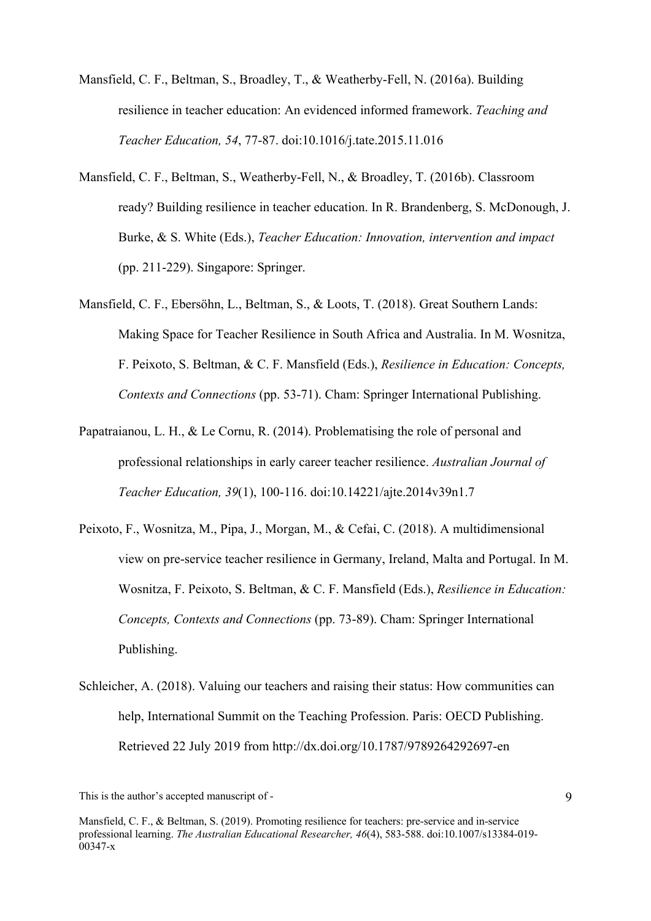- Mansfield, C. F., Beltman, S., Broadley, T., & Weatherby-Fell, N. (2016a). Building resilience in teacher education: An evidenced informed framework. *Teaching and Teacher Education, 54*, 77-87. doi:10.1016/j.tate.2015.11.016
- Mansfield, C. F., Beltman, S., Weatherby-Fell, N., & Broadley, T. (2016b). Classroom ready? Building resilience in teacher education. In R. Brandenberg, S. McDonough, J. Burke, & S. White (Eds.), *Teacher Education: Innovation, intervention and impact* (pp. 211-229). Singapore: Springer.
- Mansfield, C. F., Ebersöhn, L., Beltman, S., & Loots, T. (2018). Great Southern Lands: Making Space for Teacher Resilience in South Africa and Australia. In M. Wosnitza, F. Peixoto, S. Beltman, & C. F. Mansfield (Eds.), *Resilience in Education: Concepts, Contexts and Connections* (pp. 53-71). Cham: Springer International Publishing.
- Papatraianou, L. H., & Le Cornu, R. (2014). Problematising the role of personal and professional relationships in early career teacher resilience. *Australian Journal of Teacher Education, 39*(1), 100-116. doi:10.14221/ajte.2014v39n1.7
- Peixoto, F., Wosnitza, M., Pipa, J., Morgan, M., & Cefai, C. (2018). A multidimensional view on pre-service teacher resilience in Germany, Ireland, Malta and Portugal. In M. Wosnitza, F. Peixoto, S. Beltman, & C. F. Mansfield (Eds.), *Resilience in Education: Concepts, Contexts and Connections* (pp. 73-89). Cham: Springer International Publishing.
- Schleicher, A. (2018). Valuing our teachers and raising their status: How communities can help, International Summit on the Teaching Profession. Paris: OECD Publishing. Retrieved 22 July 2019 from http://dx.doi.org/10.1787/9789264292697-en

This is the author's accepted manuscript of -